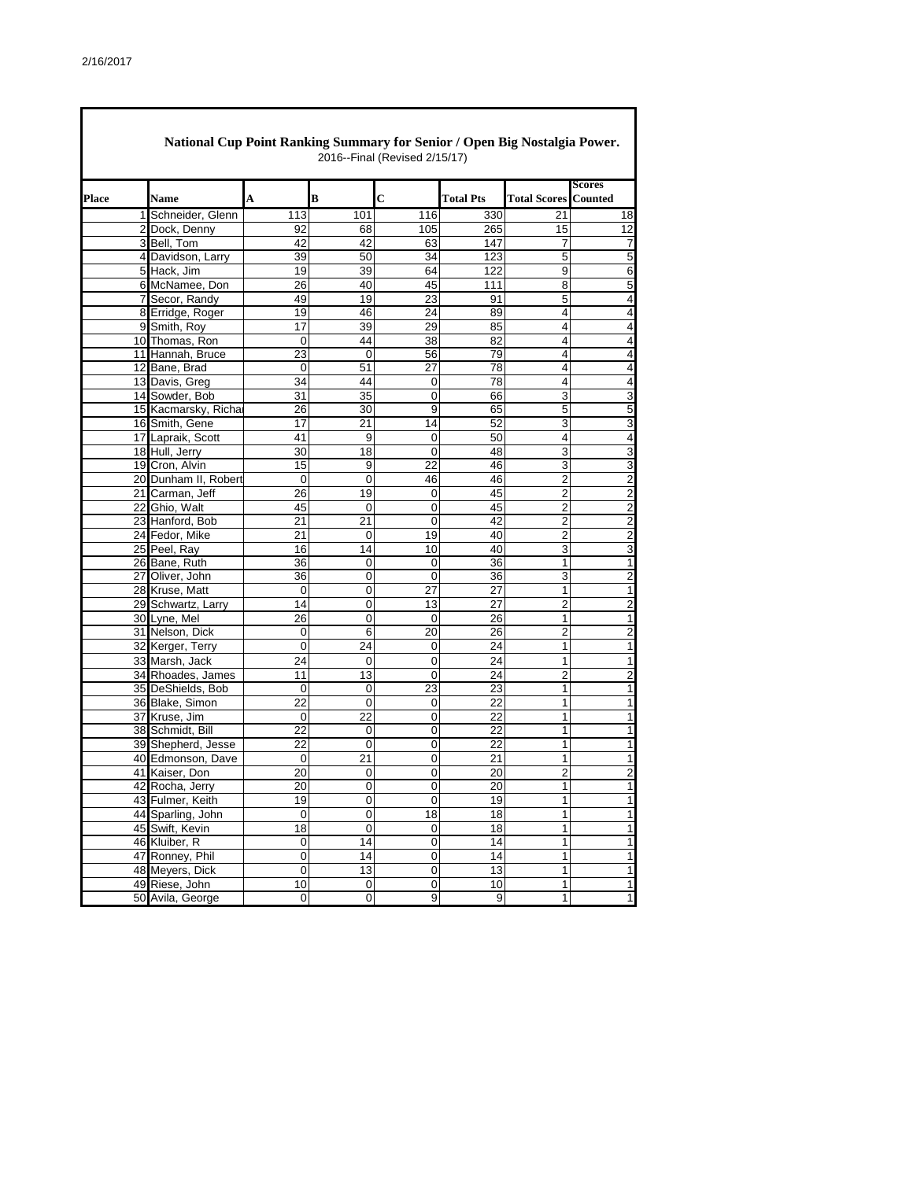Г

|       | National Cup Point Ranking Summary for Senior / Open Big Nostalgia Power. |             |                  | 2016--Final (Revised 2/15/17) |                  |                     |                          |
|-------|---------------------------------------------------------------------------|-------------|------------------|-------------------------------|------------------|---------------------|--------------------------|
| Place | <b>Name</b>                                                               | A           | B                | C                             | <b>Total Pts</b> | <b>Total Scores</b> | Scores<br><b>Counted</b> |
|       | 1 Schneider, Glenn                                                        | 113         | 101              | 116                           | 330              | 21                  | 18                       |
|       | 2 Dock, Denny                                                             | 92          | 68               | 105                           | 265              | 15                  | 12                       |
|       | 3 Bell, Tom                                                               | 42          | 42               | 63                            | 147              | 7                   | 7                        |
|       | 4 Davidson, Larry                                                         | 39          | 50               | 34                            | 123              | 5                   | $\overline{5}$           |
|       | 5 Hack, Jim                                                               | 19          | 39               | 64                            | 122              | 9                   | 6                        |
|       | 6 McNamee, Don                                                            | 26          | 40               | 45                            | 111              | 8                   | 5                        |
|       | 7 Secor, Randy                                                            | 49          | 19               | 23                            | 91               | 5                   | $\overline{\mathbf{4}}$  |
|       | 8 Erridge, Roger                                                          | 19          | 46               | 24                            | 89               | 4                   | 4                        |
|       | 9 Smith, Roy                                                              | 17          | 39               | 29                            | 85               | 4                   | 4                        |
|       | 10 Thomas, Ron                                                            | 0           | 44               | 38                            | 82               | 4                   | $\overline{\mathbf{4}}$  |
|       | 11 Hannah, Bruce                                                          | 23          | $\mathbf 0$      | 56                            | 79               | 4                   | 4                        |
|       | 12 Bane, Brad                                                             | 0           | 51               | 27                            | 78               | 4                   | 4                        |
|       | 13 Davis, Greg                                                            | 34          | 44               | 0                             | 78               | 4                   | $\overline{\mathbf{4}}$  |
|       | 14 Sowder, Bob                                                            | 31          | 35               | 0                             | 66               | 3                   | 3                        |
|       | 15 Kacmarsky, Richa                                                       | 26          | 30               | 9                             | 65               | 5                   | $\mathbf 5$              |
|       | 16 Smith, Gene                                                            | 17          | 21               | 14                            | 52               | 3                   | 3                        |
|       | 17 Lapraik, Scott                                                         | 41          | 9                | 0                             | 50               | 4                   | $\overline{\mathbf{4}}$  |
|       | 18 Hull, Jerry                                                            | 30          | 18               | 0                             | 48               | 3                   | 3                        |
|       | 19 Cron, Alvin                                                            | 15          | 9                | 22                            | 46               | 3                   | 3                        |
|       | 20 Dunham II, Robert                                                      | 0           | 0                | 46                            | 46               | $\overline{2}$      | $\overline{2}$           |
|       | 21 Carman, Jeff                                                           | 26          | 19               | 0                             | 45               | $\overline{2}$      | $\overline{2}$           |
|       | 22 Ghio, Walt                                                             | 45          | 0                | 0                             | 45               | $\overline{2}$      | $\overline{2}$           |
|       | 23 Hanford, Bob                                                           | 21          | 21               | 0                             | 42               | $\overline{2}$      | $\overline{2}$           |
|       | 24 Fedor, Mike                                                            | 21          | 0                | 19                            | 40               | $\overline{2}$      | $\overline{2}$           |
|       | 25 Peel, Ray                                                              | 16          | 14               | 10                            | 40               | 3                   | 3                        |
|       | 26 Bane, Ruth                                                             | 36          | 0                | 0                             | 36               | 1                   | $\mathbf{1}$             |
|       | 27 Oliver, John                                                           | 36          | 0                | 0                             | 36               | 3                   | $\overline{c}$           |
|       | 28 Kruse, Matt                                                            | 0           | 0                | 27                            | 27               | $\mathbf{1}$        | 1                        |
|       | 29 Schwartz, Larry                                                        | 14          | 0                | 13                            | 27               | 2                   | $\mathbf 2$              |
|       | 30 Lyne, Mel                                                              | 26          | 0                | 0                             | 26               | 1                   | 1                        |
|       | 31 Nelson, Dick                                                           | 0           | 6                | 20                            | 26               | $\overline{2}$      | $\overline{2}$           |
|       | 32 Kerger, Terry                                                          | 0           | 24               | 0                             | 24               | 1                   | 1                        |
|       | 33 Marsh, Jack                                                            | 24          | 0                | 0                             | 24               | $\mathbf{1}$        | $\mathbf{1}$             |
|       | 34 Rhoades, James                                                         | 11          | 13               | 0                             | 24               | 2                   | $\overline{2}$           |
|       | 35 DeShields, Bob                                                         | 0           | 0                | 23                            | 23               | 1                   | 1                        |
|       | 36 Blake, Simon                                                           | 22          | 0                | 0                             | 22               | 1                   | 1                        |
|       | 37 Kruse, Jim                                                             | 0           | 22               | 0                             | 22               | 1                   | 1                        |
|       | 38 Schmidt, Bill                                                          | 22          | 0                | 0                             | 22               | 1                   | 1                        |
|       | 39 Shepherd, Jesse                                                        | 22          | $\mathbf 0$      | 0                             | 22               | 1                   | 1                        |
|       | 40 Edmonson, Dave                                                         | 0           | 21               | 0                             | 21               | 1                   | $\mathbf{1}$             |
|       | 41 Kaiser, Don                                                            |             | 0                | 0                             |                  | 2                   |                          |
|       |                                                                           | 20          |                  |                               | 20<br>20         | 1                   | 2                        |
|       | 42 Rocha, Jerry<br>43 Fulmer, Keith                                       | 20<br>19    | 0                | 0                             | 19               |                     | 1                        |
|       |                                                                           |             | 0                | 0                             |                  | 1<br>$\overline{1}$ | 1<br>$\overline{1}$      |
|       | 44 Sparling, John                                                         | $\pmb{0}$   | $\mathbf 0$      | 18                            | 18               | $\mathbf{1}$        | $\mathbf{1}$             |
|       | 45 Swift, Kevin<br>46 Kluiber, R                                          | 18          | 0                | 0                             | 18               |                     |                          |
|       |                                                                           | 0           | 14               | $\mathbf 0$                   | 14               | $\mathbf{1}$        | $\mathbf 1$              |
|       | 47 Ronney, Phil                                                           | 0           | 14               | 0                             | 14               | $\mathbf{1}$        | $\mathbf{1}$             |
|       | 48 Meyers, Dick                                                           | $\mathsf 0$ | 13               | $\mathbf 0$                   | 13               | $\mathbf{1}$        | $\mathbf{1}$             |
|       | 49 Riese, John                                                            | 10          | $\boldsymbol{0}$ | 0                             | 10               | $\mathbf{1}$        | $\mathbf{1}$             |
|       | 50 Avila, George                                                          | $\pmb{0}$   | 0                | 9                             | 9                | $\overline{1}$      | $\overline{1}$           |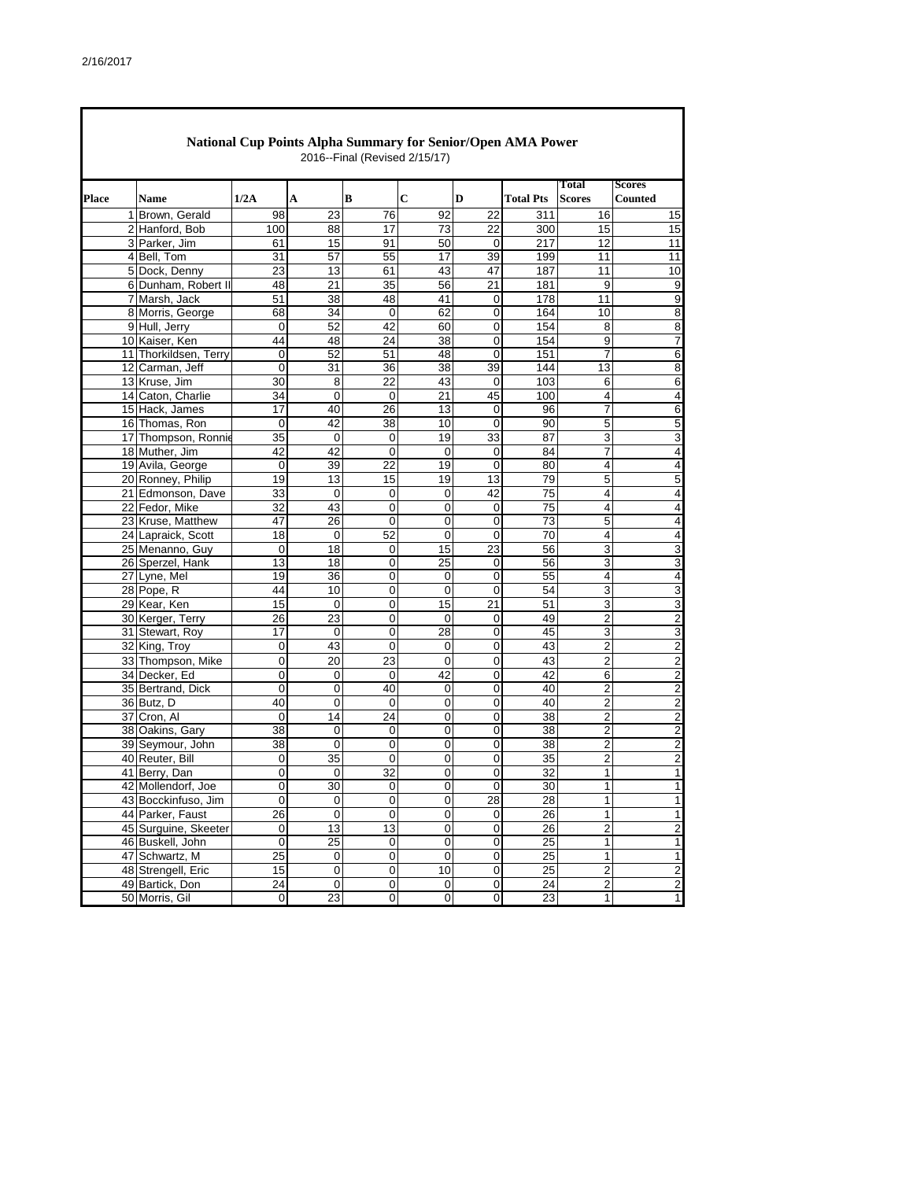|              | <b>National Cup Points Alpha Summary for Senior/Open AMA Power</b><br>2016--Final (Revised 2/15/17) |                 |                     |                 |                         |                |                  |                         |                         |  |  |  |  |
|--------------|-----------------------------------------------------------------------------------------------------|-----------------|---------------------|-----------------|-------------------------|----------------|------------------|-------------------------|-------------------------|--|--|--|--|
|              |                                                                                                     |                 |                     |                 |                         |                |                  | Total                   | <b>Scores</b>           |  |  |  |  |
| <b>Place</b> | <b>Name</b>                                                                                         | 1/2A            | A                   | В               | С                       | D              | <b>Total Pts</b> | <b>Scores</b>           | Counted                 |  |  |  |  |
|              | 1 Brown, Gerald                                                                                     | 98              | 23                  | 76              | 92                      | 22             | 311              | 16                      | 15                      |  |  |  |  |
|              | 2 Hanford, Bob                                                                                      | 100             | 88                  | 17              | 73                      | 22             | 300              | 15                      | 15                      |  |  |  |  |
|              | 3 Parker, Jim                                                                                       | 61              | 15                  | 91              | 50                      | 0              | $\overline{217}$ | 12                      | 11                      |  |  |  |  |
|              | 4 Bell, Tom                                                                                         | 31              | 57                  | 55              | 17                      | 39             | 199              | 11                      | 11                      |  |  |  |  |
|              | 5 Dock, Denny                                                                                       | 23              | 13                  | 61              | 43                      | 47             | 187              | 11                      | 10                      |  |  |  |  |
|              | 6 Dunham, Robert II                                                                                 | 48              | 21                  | 35              | 56                      | 21             | 181              | 9                       | 9                       |  |  |  |  |
|              | 7 Marsh, Jack                                                                                       | 51              | $\overline{38}$     | 48              | 41                      | $\mathbf 0$    | 178              | 11                      | 9                       |  |  |  |  |
|              | 8 Morris, George                                                                                    | 68              | 34                  | 0               | 62                      | 0              | 164              | 10                      | 8                       |  |  |  |  |
|              | 9 Hull, Jerry                                                                                       | 0               | 52                  | 42              | 60                      | $\mathbf 0$    | 154              | 8                       | 8                       |  |  |  |  |
|              | 10 Kaiser, Ken                                                                                      | 44              | 48                  | 24              | 38                      | 0              | 154              | 9                       | 7                       |  |  |  |  |
|              | 11 Thorkildsen, Terry                                                                               | 0               | 52                  | 51              | 48                      | 0              | 151              | 7                       | 6                       |  |  |  |  |
|              | 12 Carman, Jeff                                                                                     | 0               | 31                  | 36              | 38                      | 39             | 144              | 13                      | 8                       |  |  |  |  |
|              | 13 Kruse, Jim                                                                                       | 30              | 8                   | 22              | 43                      | 0              | 103              | 6                       | 6                       |  |  |  |  |
|              | 14 Caton, Charlie                                                                                   | 34              | 0                   | $\mathbf 0$     | 21                      | 45             | 100              | 4                       | 4                       |  |  |  |  |
|              | 15 Hack, James                                                                                      | 17              | 40                  | 26              | 13                      | 0              | 96               | 7                       | 6                       |  |  |  |  |
|              | 16 Thomas, Ron                                                                                      | 0               | 42                  | 38              | 10                      | $\mathbf 0$    | 90               | 5                       | 5                       |  |  |  |  |
|              | 17 Thompson, Ronnie                                                                                 | 35              | 0                   | 0               | 19                      | 33             | 87               | 3                       | 3                       |  |  |  |  |
|              | 18 Muther, Jim                                                                                      | 42              | 42                  | 0               | $\Omega$                | $\mathbf 0$    | 84               | 7                       | 4                       |  |  |  |  |
|              | 19 Avila, George                                                                                    | 0               | 39                  | 22              | 19                      | $\mathbf 0$    | 80               | 4                       | 4                       |  |  |  |  |
|              | 20 Ronney, Philip                                                                                   | 19              | 13                  | 15              | 19                      | 13             | 79               | 5                       | 5                       |  |  |  |  |
|              | 21 Edmonson, Dave                                                                                   | 33              | 0                   | 0               | 0                       | 42             | 75               | 4                       | 4                       |  |  |  |  |
|              | 22 Fedor, Mike                                                                                      | 32              | 43                  | 0               | 0                       | 0              | 75               | 4                       | 4                       |  |  |  |  |
|              | 23 Kruse, Matthew                                                                                   | 47              | 26                  | 0               | 0                       | $\mathbf 0$    | $\overline{73}$  | 5                       | $\overline{4}$          |  |  |  |  |
|              | 24 Lapraick, Scott                                                                                  | 18              | 0                   | 52              | 0                       | $\overline{0}$ | 70               | 4                       | 4                       |  |  |  |  |
|              | 25 Menanno, Guy                                                                                     | 0               | 18                  | 0               | 15                      | 23             | 56               | 3                       | 3                       |  |  |  |  |
|              | 26 Sperzel, Hank                                                                                    | 13              | 18                  | 0               | 25                      | 0              | 56               | 3                       | 3                       |  |  |  |  |
|              | 27 Lyne, Mel                                                                                        | 19              | 36                  | 0               | 0                       | $\mathbf 0$    | 55               | 4                       | 4                       |  |  |  |  |
|              | 28 Pope, R                                                                                          | 44              | 10                  | 0               | $\mathbf 0$             | $\mathbf 0$    | 54               | 3                       | 3                       |  |  |  |  |
|              | 29 Kear, Ken                                                                                        | 15              | 0                   | 0               | 15                      | 21             | 51               | 3                       | 3                       |  |  |  |  |
|              | 30 Kerger, Terry                                                                                    | 26              | 23                  | 0               | $\mathbf 0$             | 0              | 49               | 2                       | $\overline{c}$          |  |  |  |  |
|              | 31 Stewart, Roy                                                                                     | 17              | 0                   | 0               | 28                      | 0              | 45               | 3                       | 3                       |  |  |  |  |
|              | 32 King, Troy                                                                                       | 0               | 43                  | 0               | 0                       | $\mathbf 0$    | 43               | 2                       | 2                       |  |  |  |  |
|              | 33 Thompson, Mike                                                                                   | 0               | 20                  | 23              | 0                       | 0              | 43               | 2                       | $\overline{2}$          |  |  |  |  |
|              | 34 Decker, Ed                                                                                       | 0               | 0                   | 0               | 42                      | 0              | 42               | 6                       | $\overline{2}$          |  |  |  |  |
|              | 35 Bertrand, Dick                                                                                   | $\mathbf 0$     | 0                   | 40              | $\mathbf 0$             | 0              | 40               | 2                       | $\overline{2}$          |  |  |  |  |
|              | 36 Butz, D                                                                                          | 40              | 0                   | 0               | 0                       | 0              | 40               | 2                       | $\overline{c}$          |  |  |  |  |
|              | 37 Cron. Al                                                                                         | 0               | 14                  | $\overline{24}$ | 0                       | 0              | 38               | $\overline{2}$          | $\overline{c}$          |  |  |  |  |
|              | 38 Oakins, Gary                                                                                     | 38              | 0                   | 0               | 0                       | 0              | 38               | 2                       | $\overline{2}$          |  |  |  |  |
|              | 39 Seymour, John                                                                                    | $\overline{38}$ | 0                   | 0               | 0                       | 0              | $\overline{38}$  | 2                       | $\overline{c}$          |  |  |  |  |
|              | 40 Reuter, Bill                                                                                     | 0               | 35                  | 0               | 0                       | 0              | 35               | 2                       | $\overline{c}$          |  |  |  |  |
|              | 41 Berry, Dan                                                                                       | 0               | 0                   | 32              | 0                       | $\overline{0}$ | $\overline{32}$  | 1                       | 1                       |  |  |  |  |
|              | 42 Mollendorf, Joe                                                                                  | 0               | 30                  |                 | 0                       | $\mathbf 0$    |                  | 1                       |                         |  |  |  |  |
|              | 43 Bocckinfuso, Jim                                                                                 | 0               | $\overline{0}$      | 0<br>0          |                         | 28             | 30<br>28         | 1                       | 1<br>1                  |  |  |  |  |
|              |                                                                                                     |                 |                     |                 | 0                       |                |                  |                         | 1                       |  |  |  |  |
|              | 44 Parker, Faust                                                                                    | 26              | 0                   | 0               | 0                       | $\mathbf 0$    | 26               | 1                       |                         |  |  |  |  |
|              | 45 Surguine, Skeeter                                                                                | 0               | 13                  | 13              | $\pmb{0}$               | $\pmb{0}$      | 26               | $\overline{\mathbf{c}}$ | $\overline{\mathbf{c}}$ |  |  |  |  |
|              | 46 Buskell, John                                                                                    | $\mathbf 0$     | 25                  | 0               | $\mathbf 0$             | $\mathbf 0$    | 25               | 1                       | 1                       |  |  |  |  |
|              | 47 Schwartz, M                                                                                      | 25              | $\mathsf{O}\xspace$ | 0               | $\pmb{0}$               | $\pmb{0}$      | 25               | $\mathbf{1}$            | 1                       |  |  |  |  |
|              | 48 Strengell, Eric                                                                                  | 15              | $\mathsf 0$         | $\overline{0}$  | 10                      | $\pmb{0}$      | 25               | $\overline{2}$          | $\overline{\mathbf{c}}$ |  |  |  |  |
|              | 49 Bartick, Don                                                                                     | 24              | $\overline{0}$      | 0               | 0                       | $\mathbf 0$    | 24               | 2                       | $\overline{\mathbf{c}}$ |  |  |  |  |
|              | 50 Morris, Gil                                                                                      | $\overline{0}$  | 23                  | $\overline{0}$  | $\overline{\mathbf{0}}$ | $\overline{0}$ | 23               | 1                       | 1                       |  |  |  |  |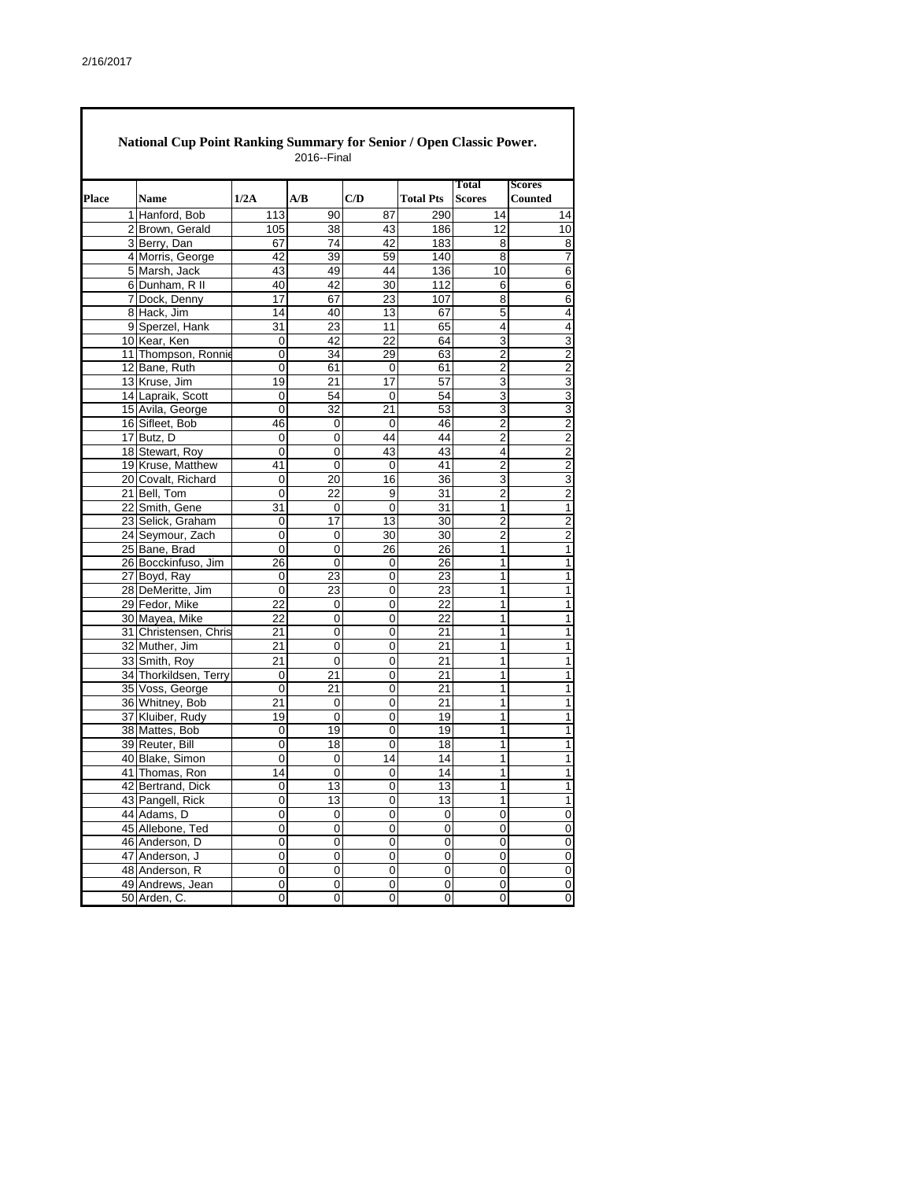|       | National Cup Point Ranking Summary for Senior / Open Classic Power.<br>2016--Final |                       |             |                |                |                  |                               |                                 |  |  |  |  |  |
|-------|------------------------------------------------------------------------------------|-----------------------|-------------|----------------|----------------|------------------|-------------------------------|---------------------------------|--|--|--|--|--|
| Place |                                                                                    | <b>Name</b>           | 1/2A        | A/B            | C/D            | <b>Total Pts</b> | <b>Total</b><br><b>Scores</b> | <b>Scores</b><br><b>Counted</b> |  |  |  |  |  |
|       |                                                                                    | 1 Hanford, Bob        | 113         | 90             | 87             | 290              | 14                            | 14                              |  |  |  |  |  |
|       |                                                                                    | 2 Brown, Gerald       | 105         | 38             | 43             | 186              | 12                            | 10                              |  |  |  |  |  |
|       |                                                                                    | 3 Berry, Dan          | 67          | 74             | 42             | 183              | 8                             | 8                               |  |  |  |  |  |
|       |                                                                                    | 4 Morris, George      | 42          | 39             | 59             | 140              | 8                             | 7                               |  |  |  |  |  |
|       |                                                                                    | 5 Marsh, Jack         | 43          | 49             | 44             | 136              | 10                            | $\overline{6}$                  |  |  |  |  |  |
|       |                                                                                    | 6 Dunham, R II        | 40          | 42             | 30             | 112              | 6                             | 6                               |  |  |  |  |  |
|       |                                                                                    | 7 Dock, Denny         | 17          | 67             | 23             | 107              | 8                             | $\overline{6}$                  |  |  |  |  |  |
|       |                                                                                    | 8 Hack, Jim           | 14          | 40             | 13             | 67               | 5                             | 4                               |  |  |  |  |  |
|       |                                                                                    | 9 Sperzel, Hank       | 31          | 23             | 11             | 65               | 4                             | $\overline{4}$                  |  |  |  |  |  |
|       |                                                                                    | 10 Kear, Ken          | 0           | 42             | 22             | 64               | 3                             | 3                               |  |  |  |  |  |
|       |                                                                                    | 11 Thompson, Ronnie   | 0           | 34             | 29             | 63               | 2                             | $\overline{c}$                  |  |  |  |  |  |
|       |                                                                                    | 12 Bane, Ruth         | 0           | 61             | 0              | 61               | $\overline{c}$                | $\overline{2}$                  |  |  |  |  |  |
|       |                                                                                    | 13 Kruse, Jim         | 19          | 21             | 17             | 57               | 3                             | 3                               |  |  |  |  |  |
|       |                                                                                    | 14 Lapraik, Scott     | 0           | 54             | 0              | 54               | 3                             | 3                               |  |  |  |  |  |
|       |                                                                                    | 15 Avila, George      | 0           | 32             | 21             | 53               | 3                             | $\overline{3}$                  |  |  |  |  |  |
|       |                                                                                    | 16 Sifleet, Bob       | 46          | 0              | 0              | 46               | 2                             | $\overline{c}$                  |  |  |  |  |  |
|       |                                                                                    | 17 Butz, D            | 0           | 0              | 44             | 44               | 2                             | $\overline{2}$                  |  |  |  |  |  |
|       |                                                                                    | 18 Stewart, Roy       | 0           | 0              | 43             | 43               | 4                             | $\overline{2}$                  |  |  |  |  |  |
|       |                                                                                    | 19 Kruse, Matthew     | 41          | 0              | 0              | 41               | 2                             | $\overline{2}$                  |  |  |  |  |  |
|       |                                                                                    | 20 Covalt, Richard    | 0           | 20             | 16             | 36               | 3                             | 3                               |  |  |  |  |  |
|       |                                                                                    | 21 Bell, Tom          | 0           | 22             | 9              | 31               | $\overline{2}$                | $\overline{2}$                  |  |  |  |  |  |
|       |                                                                                    | 22 Smith, Gene        | 31          | 0              | 0              | 31               | 1                             | $\overline{1}$                  |  |  |  |  |  |
|       |                                                                                    | 23 Selick, Graham     | 0           | 17             | 13             | $\overline{30}$  | $\overline{2}$                | $\overline{c}$                  |  |  |  |  |  |
|       |                                                                                    | 24 Seymour, Zach      | 0           | 0              | 30             | 30               | $\overline{2}$                | $\overline{2}$                  |  |  |  |  |  |
|       |                                                                                    | 25 Bane, Brad         | $\mathbf 0$ | $\overline{0}$ | 26             | 26               | 1                             | $\overline{1}$                  |  |  |  |  |  |
|       |                                                                                    | 26 Bocckinfuso, Jim   | 26          | 0              | 0              | 26               | 1                             | 1                               |  |  |  |  |  |
|       |                                                                                    | 27 Boyd, Ray          | 0           | 23             | 0              | 23               | 1                             | $\mathbf{1}$                    |  |  |  |  |  |
|       |                                                                                    | 28 DeMeritte, Jim     | $\mathbf 0$ | 23             | 0              | 23               | 1                             | 1                               |  |  |  |  |  |
|       |                                                                                    | 29 Fedor, Mike        | 22          | 0              | 0              | 22               | 1                             | $\mathbf{1}$                    |  |  |  |  |  |
|       |                                                                                    | 30 Mayea, Mike        | 22          | 0              | 0              | 22               | 1                             | 1                               |  |  |  |  |  |
|       |                                                                                    | 31 Christensen, Chris | 21          | 0              | 0              | 21               | 1                             | $\mathbf{1}$                    |  |  |  |  |  |
|       |                                                                                    | 32 Muther, Jim        | 21          | 0              | 0              | 21               | 1                             | 1                               |  |  |  |  |  |
|       |                                                                                    | 33 Smith, Roy         | 21          | 0              | 0              | 21               | 1                             | $\mathbf{1}$                    |  |  |  |  |  |
|       |                                                                                    | 34 Thorkildsen, Terry | $\mathbf 0$ | 21             | 0              | 21               | 1                             | $\mathbf{1}$                    |  |  |  |  |  |
|       |                                                                                    | 35 Voss, George       | $\mathbf 0$ | 21             | 0              | 21               | 1                             | $\overline{1}$                  |  |  |  |  |  |
|       |                                                                                    | 36 Whitney, Bob       | 21          | 0              | 0              | 21               | 1                             | 1                               |  |  |  |  |  |
|       |                                                                                    | 37 Kluiber, Rudy      | 19          | 0              | 0              | 19               | 1                             | 1                               |  |  |  |  |  |
|       |                                                                                    | 38 Mattes, Bob        | 0           | 19             | 0              | 19               | 1                             | 1                               |  |  |  |  |  |
|       |                                                                                    | 39 Reuter, Bill       | $\mathbf 0$ | 18             | 0              | 18               | 1                             | $\overline{1}$                  |  |  |  |  |  |
|       |                                                                                    | 40 Blake, Simon       | 0           | 0              | 14             | 14               | 1                             | 1                               |  |  |  |  |  |
|       |                                                                                    | 41 Thomas, Ron        | 14          | 0              | $\mathsf 0$    | 14               | 1                             | $\mathbf{1}$                    |  |  |  |  |  |
|       |                                                                                    | 42 Bertrand, Dick     | 0           | 13             | 0              | 13               | 1                             | 1                               |  |  |  |  |  |
|       |                                                                                    | 43 Pangell, Rick      | 0           | 13             | $\overline{0}$ | 13               | 1                             | 1                               |  |  |  |  |  |
|       |                                                                                    | 44 Adams, D           | 0           | 0              | 0              | 0                | 0                             | $\pmb{0}$                       |  |  |  |  |  |
|       |                                                                                    | 45 Allebone, Ted      | 0           | 0              | 0              | 0                | 0                             | 0                               |  |  |  |  |  |
|       |                                                                                    | 46 Anderson, D        | 0           | 0              | 0              | $\pmb{0}$        | 0                             | $\mathbf 0$                     |  |  |  |  |  |
|       |                                                                                    | 47 Anderson, J        | 0           | 0              | 0              | 0                | 0                             | $\pmb{0}$                       |  |  |  |  |  |
|       |                                                                                    | 48 Anderson, R        | $\pmb{0}$   | $\pmb{0}$      | 0              | $\pmb{0}$        | $\pmb{0}$                     | $\overline{\mathbf{0}}$         |  |  |  |  |  |
|       |                                                                                    | 49 Andrews, Jean      | 0           | 0              | 0              | 0                | 0                             | $\pmb{0}$                       |  |  |  |  |  |
|       |                                                                                    | 50 Arden, C.          | 0           | 0              | 0              | 0                | $\pmb{0}$                     | o                               |  |  |  |  |  |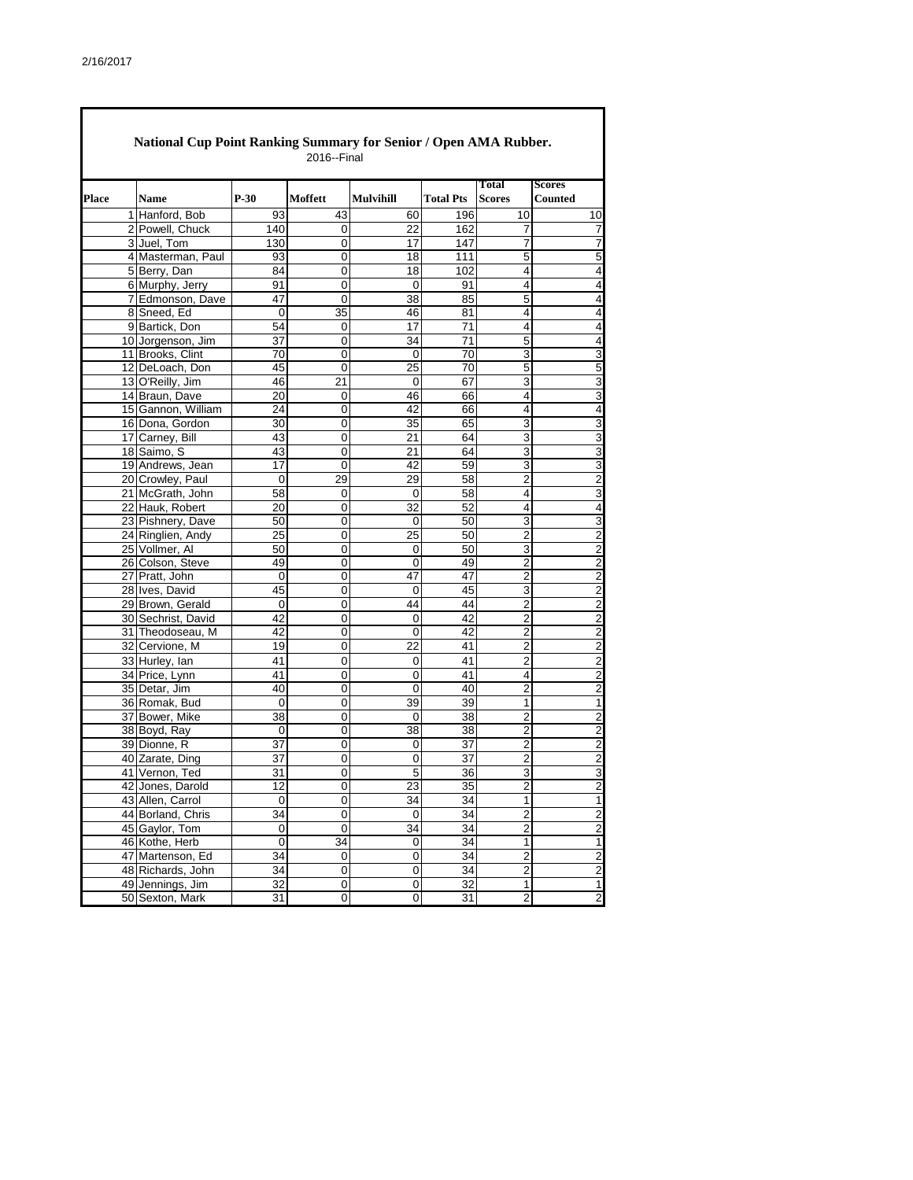Г

| <b>National Cup Point Ranking Summary for Senior / Open AMA Rubber.</b><br>2016--Final |                    |             |           |                  |                  |                         |                          |  |  |  |
|----------------------------------------------------------------------------------------|--------------------|-------------|-----------|------------------|------------------|-------------------------|--------------------------|--|--|--|
| <b>Place</b>                                                                           | Name               | $P-30$      | Moffett   | <b>Mulvihill</b> | <b>Total Pts</b> | Total<br><b>Scores</b>  | <b>Scores</b><br>Counted |  |  |  |
|                                                                                        | 1 Hanford, Bob     | 93          | 43        | 60               | 196              | 10                      | 10                       |  |  |  |
|                                                                                        | 2 Powell, Chuck    | 140         | 0         | 22               | 162              | 7                       | 7                        |  |  |  |
|                                                                                        | 3 Juel, Tom        | 130         | 0         | 17               | 147              | 7                       | 7                        |  |  |  |
|                                                                                        | 4 Masterman, Paul  | 93          | 0         | 18               | 111              | 5                       | 5                        |  |  |  |
|                                                                                        | 5 Berry, Dan       | 84          | 0         | 18               | 102              | 4                       | $\overline{4}$           |  |  |  |
|                                                                                        | 6 Murphy, Jerry    | 91          | 0         | 0                | 91               | 4                       | 4                        |  |  |  |
|                                                                                        | 7 Edmonson, Dave   | 47          | 0         | 38               | 85               | 5                       | 4                        |  |  |  |
|                                                                                        | 8 Sneed, Ed        | $\mathbf 0$ | 35        | 46               | 81               | 4                       | 4                        |  |  |  |
|                                                                                        | 9 Bartick, Don     | 54          | 0         | 17               | 71               | 4                       | $\overline{4}$           |  |  |  |
|                                                                                        | 10 Jorgenson, Jim  | 37          | 0         | 34               | 71               | 5                       | 4                        |  |  |  |
|                                                                                        | 11 Brooks, Clint   | 70          | 0         | 0                | 70               | 3                       | 3                        |  |  |  |
|                                                                                        | 12 DeLoach, Don    | 45          | 0         | 25               | 70               | 5                       | 5                        |  |  |  |
|                                                                                        | 13 O'Reilly, Jim   | 46          | 21        | 0                | 67               | 3                       |                          |  |  |  |
|                                                                                        | 14 Braun, Dave     | 20          | 0         | 46               | 66               | 4                       | 3<br>3                   |  |  |  |
|                                                                                        | 15 Gannon, William | 24          | 0         | 42               | 66               | 4                       | 4                        |  |  |  |
|                                                                                        | 16 Dona, Gordon    | 30          | 0         | 35               | 65               | 3                       | 3                        |  |  |  |
|                                                                                        | 17 Carney, Bill    | 43          | 0         | 21               | 64               | 3                       |                          |  |  |  |
|                                                                                        | 18 Saimo, S        | 43          | 0         | 21               | 64               | 3                       | 3<br>3                   |  |  |  |
|                                                                                        | 19 Andrews, Jean   | 17          | 0         | 42               | 59               | 3                       |                          |  |  |  |
|                                                                                        | 20 Crowley, Paul   |             |           |                  |                  | 2                       | 3                        |  |  |  |
|                                                                                        |                    | 0           | 29        | 29               | 58               | 4                       | 2                        |  |  |  |
|                                                                                        | 21 McGrath, John   | 58          | 0         | 0                | 58               |                         | 3                        |  |  |  |
|                                                                                        | 22 Hauk, Robert    | 20          | 0         | 32               | 52               | 4                       | 4                        |  |  |  |
|                                                                                        | 23 Pishnery, Dave  | 50          | 0         | $\Omega$         | 50               | 3                       | 3                        |  |  |  |
|                                                                                        | 24 Ringlien, Andy  | 25          | 0         | 25               | 50               | 2                       | $\overline{c}$           |  |  |  |
|                                                                                        | 25 Vollmer, Al     | 50          | 0         | 0                | 50               | 3                       | $\overline{2}$           |  |  |  |
|                                                                                        | 26 Colson, Steve   | 49          | 0         | 0                | 49               | $\overline{2}$          | 2                        |  |  |  |
|                                                                                        | 27 Pratt, John     | 0           | 0         | 47               | 47               | $\overline{2}$          | $\overline{c}$           |  |  |  |
|                                                                                        | 28 Ives, David     | 45          | 0         | 0                | 45               | 3                       | $\overline{c}$           |  |  |  |
|                                                                                        | 29 Brown, Gerald   | 0           | 0         | 44               | 44               | $\overline{\mathbf{c}}$ | $\overline{2}$           |  |  |  |
|                                                                                        | 30 Sechrist, David | 42          | 0         | 0                | 42               | $\overline{2}$          | $\overline{c}$           |  |  |  |
|                                                                                        | 31 Theodoseau, M   | 42          | 0         | 0                | 42               | $\overline{\mathbf{c}}$ | $\overline{\mathbf{c}}$  |  |  |  |
|                                                                                        | 32 Cervione, M     | 19          | 0         | 22               | 41               | 2                       | $\overline{\mathbf{c}}$  |  |  |  |
|                                                                                        | 33 Hurley, Ian     | 41          | 0         | 0                | 41               | $\overline{2}$          | $\overline{2}$           |  |  |  |
|                                                                                        | 34 Price, Lynn     | 41          | 0         | 0                | 41               | 4                       | 2                        |  |  |  |
|                                                                                        | 35 Detar, Jim      | 40          | 0         | $\mathbf 0$      | 40               | $\overline{2}$          | $\overline{2}$           |  |  |  |
|                                                                                        | 36 Romak, Bud      | 0           | 0         | 39               | 39               | 1                       | 1                        |  |  |  |
|                                                                                        | 37 Bower, Mike     | 38          | 0         | 0                | 38               | $\overline{2}$          | $\overline{2}$           |  |  |  |
|                                                                                        | 38 Boyd, Ray       | 0           | 0         | 38               | 38               | 2                       | $\overline{c}$           |  |  |  |
|                                                                                        | 39 Dionne, R       | 37          | 0         | 0                | 37               | $\overline{2}$          | $\overline{2}$           |  |  |  |
|                                                                                        | 40 Zarate, Ding    | 37          | 0         | 0                | 37               | 2                       | $\overline{c}$           |  |  |  |
|                                                                                        | 41 Vernon, Ted     | 31          | 0         | 5                | 36               | 3                       | 3                        |  |  |  |
|                                                                                        | 42 Jones, Darold   | 12          | 0         | $\overline{23}$  | 35               | $\overline{2}$          | $\overline{2}$           |  |  |  |
|                                                                                        | 43 Allen, Carrol   | 0           | 0         | 34               | 34               | 1                       | 1                        |  |  |  |
|                                                                                        | 44 Borland, Chris  | 34          | $\pmb{0}$ | 0                | 34               | $\overline{2}$          | $\overline{c}$           |  |  |  |
|                                                                                        | 45 Gaylor, Tom     | 0           | $\pmb{0}$ | 34               | 34               | $\overline{2}$          | $\overline{c}$           |  |  |  |
|                                                                                        | 46 Kothe, Herb     | 0           | 34        | 0                | 34               | 1                       | 1                        |  |  |  |
|                                                                                        | 47 Martenson, Ed   | 34          | 0         | 0                | 34               | $\overline{c}$          | $\overline{c}$           |  |  |  |
|                                                                                        | 48 Richards, John  | 34          | 0         | 0                | 34               | $\overline{\mathbf{c}}$ | $\overline{2}$           |  |  |  |
|                                                                                        | 49 Jennings, Jim   | 32          | 0         | 0                | 32               | 1                       | 1                        |  |  |  |
|                                                                                        | 50 Sexton, Mark    | 31          | 0         | 0                | 31               | $\overline{2}$          | $\overline{2}$           |  |  |  |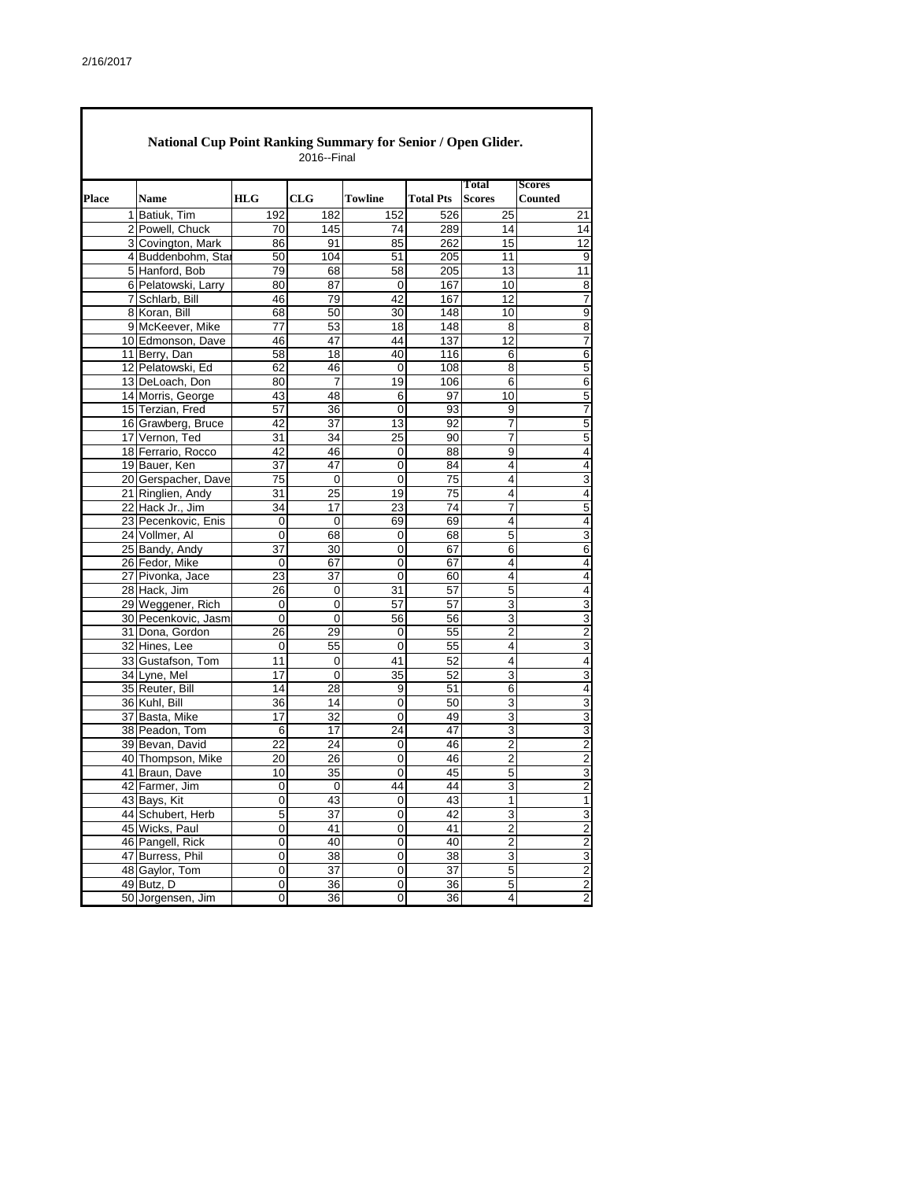|       | National Cup Point Ranking Summary for Senior / Open Glider.<br>2016--Final |                 |                 |             |                  |                         |                                           |  |  |  |  |  |  |
|-------|-----------------------------------------------------------------------------|-----------------|-----------------|-------------|------------------|-------------------------|-------------------------------------------|--|--|--|--|--|--|
| Place | <b>Name</b>                                                                 | <b>HLG</b>      | CLG             | Towline     | <b>Total Pts</b> | Total<br><b>Scores</b>  | <b>Scores</b><br><b>Counted</b>           |  |  |  |  |  |  |
|       | 1 Batiuk, Tim                                                               | 192             | 182             | 152         | 526              | 25                      | 21                                        |  |  |  |  |  |  |
|       | 2 Powell, Chuck                                                             | 70              | 145             | 74          | 289              | 14                      | 14                                        |  |  |  |  |  |  |
|       | 3 Covington, Mark                                                           | 86              | 91              | 85          | 262              | 15                      | 12                                        |  |  |  |  |  |  |
|       | 4 Buddenbohm, Star                                                          | 50              | 104             | 51          | 205              | 11                      | 9                                         |  |  |  |  |  |  |
|       | 5 Hanford, Bob                                                              | 79              | 68              | 58          | 205              | 13                      | 11                                        |  |  |  |  |  |  |
|       | 6 Pelatowski, Larry                                                         | 80              | 87              | 0           | 167              | 10                      | 8                                         |  |  |  |  |  |  |
|       | 7 Schlarb, Bill                                                             | 46              | 79              | 42          | 167              | 12                      | 7                                         |  |  |  |  |  |  |
|       | 8 Koran, Bill                                                               | 68              | 50              | 30          | 148              | 10                      | 9                                         |  |  |  |  |  |  |
|       | 9 McKeever, Mike                                                            | $\overline{77}$ | 53              | 18          | 148              | 8                       | 8                                         |  |  |  |  |  |  |
|       | 10 Edmonson, Dave                                                           | 46              | 47              | 44          | 137              | 12                      | 7                                         |  |  |  |  |  |  |
|       | 11 Berry, Dan                                                               | 58              | 18              | 40          | 116              | 6                       | 6                                         |  |  |  |  |  |  |
|       | 12 Pelatowski, Ed                                                           | 62              | 46              | $\mathbf 0$ | 108              | 8                       | 5                                         |  |  |  |  |  |  |
|       | 13 DeLoach, Don                                                             | 80              | 7               | 19          | 106              | 6                       | 6                                         |  |  |  |  |  |  |
|       | 14 Morris, George                                                           | 43              | 48              | 6           | 97               | 10                      | 5                                         |  |  |  |  |  |  |
|       | 15 Terzian, Fred                                                            | 57              | 36              | 0           | 93               | 9                       | 7                                         |  |  |  |  |  |  |
|       | 16 Grawberg, Bruce                                                          | 42              | 37              | 13          | 92               | 7                       | 5                                         |  |  |  |  |  |  |
|       | 17 Vernon, Ted                                                              | 31              | 34              | 25          | 90               | 7                       | 5                                         |  |  |  |  |  |  |
|       | 18 Ferrario, Rocco                                                          | 42              | 46              | 0           | 88               | 9                       | 4                                         |  |  |  |  |  |  |
|       | 19 Bauer, Ken                                                               | $\overline{37}$ | 47              | 0           | 84               | 4                       | 4                                         |  |  |  |  |  |  |
|       | 20 Gerspacher, Dave                                                         | 75              | 0               | $\mathbf 0$ | 75               | 4                       | 3                                         |  |  |  |  |  |  |
|       | 21 Ringlien, Andy                                                           | 31              | 25              | 19          | 75               | 4                       | 4                                         |  |  |  |  |  |  |
|       | 22 Hack Jr., Jim                                                            | 34              | 17              | 23          | 74               | 7                       | 5                                         |  |  |  |  |  |  |
|       | 23 Pecenkovic, Enis                                                         | 0               | $\mathbf 0$     | 69          | 69               | 4                       | 4                                         |  |  |  |  |  |  |
|       | 24 Vollmer, Al                                                              | 0               | 68              | 0           | 68               | 5                       | 3                                         |  |  |  |  |  |  |
|       | 25 Bandy, Andy                                                              | 37              | $\overline{30}$ | $\mathbf 0$ | 67               | 6                       | 6                                         |  |  |  |  |  |  |
|       | 26 Fedor, Mike                                                              | 0               | 67              | 0           | 67               | 4                       | 4                                         |  |  |  |  |  |  |
|       | 27 Pivonka, Jace                                                            | 23              | 37              | $\mathbf 0$ | 60               | 4                       | $\overline{4}$                            |  |  |  |  |  |  |
|       | 28 Hack, Jim                                                                | 26              | $\mathbf 0$     | 31          | 57               | 5                       | 4                                         |  |  |  |  |  |  |
|       | 29 Weggener, Rich                                                           | 0               | 0               | 57          | 57               | 3                       | 3                                         |  |  |  |  |  |  |
|       | 30 Pecenkovic, Jasm                                                         | $\mathbf 0$     | 0               | 56          | 56               | 3                       | 3                                         |  |  |  |  |  |  |
|       | 31 Dona, Gordon                                                             | 26              | 29              | 0           | 55               | 2                       | $\overline{c}$                            |  |  |  |  |  |  |
|       | 32 Hines, Lee                                                               | 0               | 55              | $\mathbf 0$ | 55               | 4                       | 3                                         |  |  |  |  |  |  |
|       | 33 Gustafson, Tom                                                           | 11              | $\mathbf 0$     | 41          | 52               | 4                       | 4                                         |  |  |  |  |  |  |
|       | 34 Lyne, Mel                                                                | 17              | $\mathbf 0$     | 35          | 52               | 3                       | 3                                         |  |  |  |  |  |  |
|       | 35 Reuter, Bill                                                             | 14              | 28              | 9           | 51               | 6                       | 4                                         |  |  |  |  |  |  |
|       | 36 Kuhl, Bill                                                               | 36              | 14              | 0           | 50               | 3                       | 3                                         |  |  |  |  |  |  |
|       | 37 Basta, Mike                                                              | 17              | $\overline{32}$ | 0           | 49               | 3                       | 3                                         |  |  |  |  |  |  |
|       | 38 Peadon, Tom                                                              | 6               | 17              | 24          | 47               | 3                       | 3                                         |  |  |  |  |  |  |
|       | 39 Bevan, David                                                             | 22              | 24              | 0           | 46               | $\overline{2}$          | $\overline{c}$                            |  |  |  |  |  |  |
|       | 40 Thompson, Mike                                                           | 20              | 26              | 0           | 46               | $\overline{c}$          | $\overline{\mathbf{c}}$                   |  |  |  |  |  |  |
|       | 41 Braun, Dave                                                              | 10              | 35              | 0           | $\overline{45}$  | 5                       | 3                                         |  |  |  |  |  |  |
|       | 42 Farmer, Jim                                                              | 0               | $\mathbf 0$     | 44          | 44               | $\overline{3}$          | $\overline{c}$                            |  |  |  |  |  |  |
|       | 43 Bays, Kit                                                                | 0               | 43              | 0           | 43               | 1                       | 1                                         |  |  |  |  |  |  |
|       | 44 Schubert, Herb                                                           | 5               | 37              | 0           | 42               | 3                       | 3                                         |  |  |  |  |  |  |
|       | 45 Wicks, Paul                                                              | 0               | 41              | 0           | 41               | $\overline{\mathbf{c}}$ | $\overline{c}$                            |  |  |  |  |  |  |
|       | 46 Pangell, Rick                                                            | 0               | 40              | $\pmb{0}$   | 40               | $\overline{\mathbf{c}}$ | $\overline{2}$                            |  |  |  |  |  |  |
|       | 47 Burress, Phil                                                            | 0               | 38              | 0           | 38               | 3                       | 3                                         |  |  |  |  |  |  |
|       | 48 Gaylor, Tom                                                              | 0               | 37              | 0           | 37               | $\mathbf 5$             | $\overline{\mathbf{c}}$                   |  |  |  |  |  |  |
|       | 49 Butz, D                                                                  | 0               | 36              | 0           | 36               | 5                       | $\overline{\mathbf{c}}$<br>$\overline{2}$ |  |  |  |  |  |  |
|       | 50 Jorgensen, Jim                                                           | 0               | 36              | 0           | 36               | 4                       |                                           |  |  |  |  |  |  |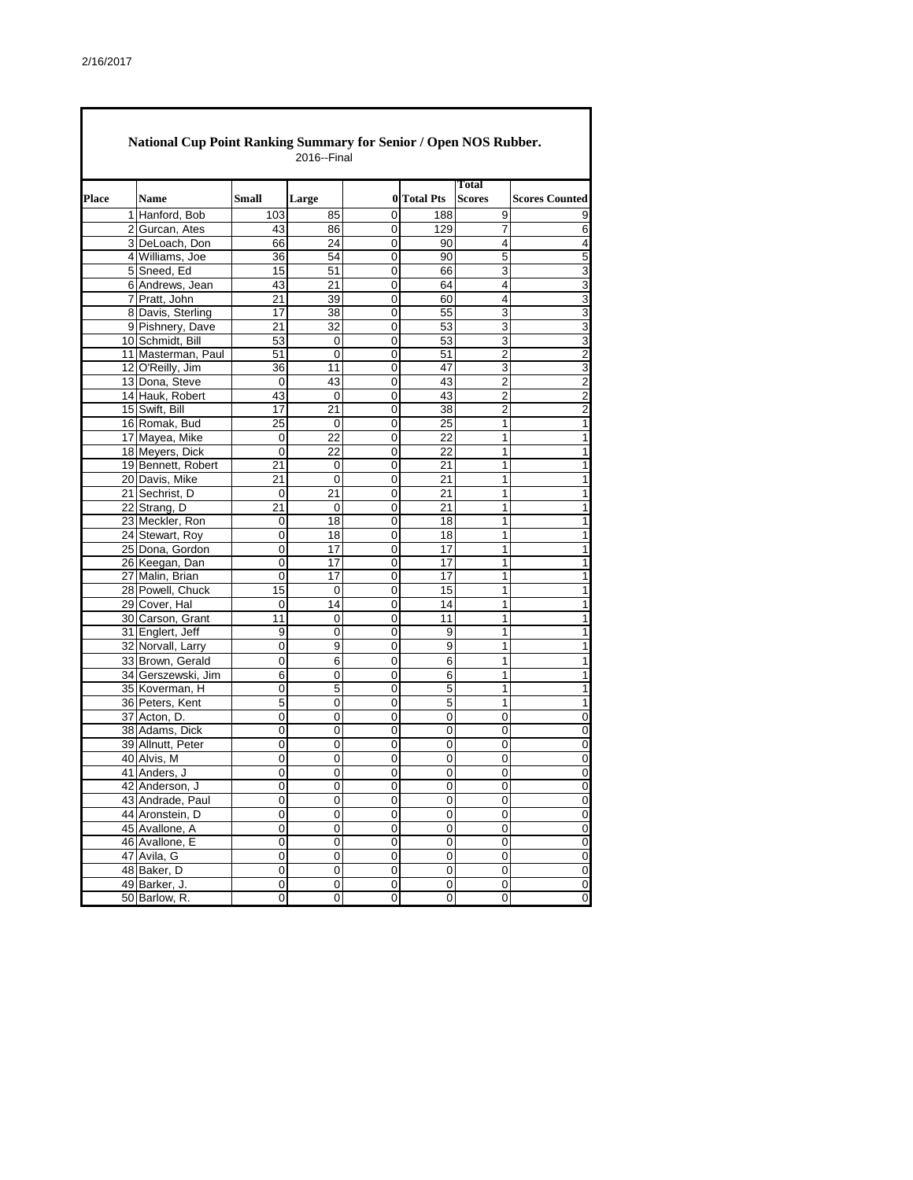|       | National Cup Point Ranking Summary for Senior / Open NOS Rubber.<br>2016--Final |                                    |             |                 |             |                  |                               |                         |  |  |  |  |
|-------|---------------------------------------------------------------------------------|------------------------------------|-------------|-----------------|-------------|------------------|-------------------------------|-------------------------|--|--|--|--|
| Place |                                                                                 | <b>Name</b>                        | Small       | Large           | $\bf{0}$    | <b>Total Pts</b> | <b>Total</b><br><b>Scores</b> | <b>Scores Counted</b>   |  |  |  |  |
|       |                                                                                 | 1 Hanford, Bob                     | 103         | 85              | 0           | 188              | 9                             | 9                       |  |  |  |  |
|       |                                                                                 | 2 Gurcan, Ates                     | 43          | 86              | 0           | 129              | 7                             | 6                       |  |  |  |  |
|       |                                                                                 | 3 DeLoach, Don                     | 66          | 24              | 0           | 90               | 4                             | $\overline{\mathbf{4}}$ |  |  |  |  |
|       |                                                                                 | 4 Williams, Joe                    | 36          | 54              | 0           | 90               | 5                             | 5                       |  |  |  |  |
|       |                                                                                 | 5 Sneed, Ed                        | 15          | 51              | 0           | 66               | 3                             | 3                       |  |  |  |  |
|       |                                                                                 | 6 Andrews, Jean                    | 43          | 21              | 0           | 64               | 4                             | 3                       |  |  |  |  |
|       |                                                                                 | 7 Pratt, John                      | 21          | 39              | 0           | 60               | 4                             | $\overline{3}$          |  |  |  |  |
|       |                                                                                 | 8 Davis, Sterling                  | 17          | 38              | 0           | 55               | 3                             | $\overline{3}$          |  |  |  |  |
|       |                                                                                 | 9 Pishnery, Dave                   | 21          | $\overline{32}$ | 0           | 53               | 3                             | $\overline{3}$          |  |  |  |  |
|       |                                                                                 | 10 Schmidt, Bill                   | 53          | 0               | 0           | 53               | 3                             | $\overline{3}$          |  |  |  |  |
|       |                                                                                 | 11 Masterman, Paul                 | 51          | 0               | 0           | 51               | 2                             |                         |  |  |  |  |
|       |                                                                                 | 12 O'Reilly, Jim                   | 36          | 11              | 0           | 47               | 3                             | $\frac{2}{3}$           |  |  |  |  |
|       |                                                                                 | 13 Dona, Steve                     | 0           | 43              | 0           | 43               | $\overline{2}$                | $\overline{2}$          |  |  |  |  |
|       |                                                                                 | 14 Hauk, Robert                    | 43          | 0               | 0           | 43               | $\overline{2}$                |                         |  |  |  |  |
|       |                                                                                 | 15 Swift, Bill                     | 17          | 21              | 0           | 38               | 2                             | $\frac{2}{2}$           |  |  |  |  |
|       |                                                                                 | 16 Romak, Bud                      | 25          | 0               | 0           | 25               | 1                             | $\mathbf{1}$            |  |  |  |  |
|       |                                                                                 | 17 Mayea, Mike                     | 0           | 22              | 0           | 22               | 1                             | 1                       |  |  |  |  |
|       |                                                                                 | 18 Meyers, Dick                    | 0           | 22              | 0           | 22               | 1                             | 1                       |  |  |  |  |
|       |                                                                                 | 19 Bennett, Robert                 | 21          | 0               | 0           | 21               | 1                             | 1                       |  |  |  |  |
|       |                                                                                 | 20 Davis, Mike                     | 21          | 0               | 0           | 21               | 1                             | 1                       |  |  |  |  |
|       |                                                                                 | 21 Sechrist, D                     | 0           | 21              | 0           | 21               | 1                             | 1                       |  |  |  |  |
|       |                                                                                 | 22 Strang, D                       |             |                 |             |                  | 1                             | 1                       |  |  |  |  |
|       |                                                                                 |                                    | 21<br>0     | 0<br>18         | 0<br>0      | 21<br>18         | 1                             |                         |  |  |  |  |
|       |                                                                                 | 23 Meckler, Ron<br>24 Stewart, Roy |             |                 |             |                  |                               | 1                       |  |  |  |  |
|       |                                                                                 |                                    | 0           | 18              | 0           | 18               | 1                             | 1                       |  |  |  |  |
|       |                                                                                 | 25 Dona, Gordon                    | $\mathbf 0$ | 17              | 0           | 17               | 1                             | 1                       |  |  |  |  |
|       |                                                                                 | 26 Keegan, Dan                     | 0           | 17              | 0           | 17               | 1                             | 1                       |  |  |  |  |
|       |                                                                                 | 27 Malin, Brian                    | 0           | 17              | 0           | 17               | 1                             | 1                       |  |  |  |  |
|       |                                                                                 | 28 Powell, Chuck                   | 15          | 0               | 0           | 15               | 1                             | 1                       |  |  |  |  |
|       |                                                                                 | 29 Cover, Hal                      | 0           | 14              | 0           | 14               | 1                             | 1                       |  |  |  |  |
|       |                                                                                 | 30 Carson, Grant                   | 11          | 0               | 0           | 11               | 1                             | 1                       |  |  |  |  |
|       |                                                                                 | 31 Englert, Jeff                   | 9           | 0               | 0           | 9                | 1                             | 1                       |  |  |  |  |
|       |                                                                                 | 32 Norvall, Larry                  | 0           | 9               | 0           | 9                | 1                             | 1                       |  |  |  |  |
|       |                                                                                 | 33 Brown, Gerald                   | 0           | 6               | 0           | 6                | 1                             | 1                       |  |  |  |  |
|       |                                                                                 | 34 Gerszewski, Jim                 | 6           | 0               | 0           | 6                | 1                             | 1                       |  |  |  |  |
|       |                                                                                 | 35 Koverman. H                     | 0           | 5               | 0           | 5                | 1                             | 1                       |  |  |  |  |
|       |                                                                                 | 36 Peters, Kent                    | 5           | 0               | 0           | 5                | 1                             | 1                       |  |  |  |  |
|       |                                                                                 | 37 Acton, D.                       | 0           | 0               | 0           | 0                | 0                             | $\overline{0}$          |  |  |  |  |
|       |                                                                                 | 38 Adams, Dick                     | 0           | 0               | 0           | 0                | 0                             | $\overline{0}$          |  |  |  |  |
|       |                                                                                 | 39 Allnutt, Peter                  | 0           | 0               | 0           | 0                | 0                             | $\overline{0}$          |  |  |  |  |
|       |                                                                                 | 40 Alvis, M                        | 0           | 0               | 0           | 0                | 0                             | 0                       |  |  |  |  |
|       |                                                                                 | 41 Anders, J                       | 0           | 0               | 0           | 0                | 0                             | 0                       |  |  |  |  |
|       |                                                                                 | 42 Anderson, J                     | 0           | 0               | 0           | 0                | 0                             | $\overline{\mathbf{0}}$ |  |  |  |  |
|       |                                                                                 | 43 Andrade, Paul                   | 0           | $\overline{0}$  | 0           | 0                | 0                             | $\overline{\mathbf{0}}$ |  |  |  |  |
|       |                                                                                 | 44 Aronstein, D                    | 0           | 0               | 0           | 0                | 0                             | $\overline{0}$          |  |  |  |  |
|       |                                                                                 | 45 Avallone, A                     | 0           | 0               | 0           | 0                | 0                             | $\overline{\mathbf{0}}$ |  |  |  |  |
|       |                                                                                 | 46 Avallone, E                     | 0           | 0               | $\mathbf 0$ | 0                | $\mathbf 0$                   | $\pmb{0}$               |  |  |  |  |
|       |                                                                                 | 47 Avila, G                        | 0           | 0               | 0           | 0                | 0                             | $\bf 0$                 |  |  |  |  |
|       |                                                                                 | 48 Baker, D                        | 0           | 0               | 0           | 0                | $\pmb{0}$                     | $\overline{0}$          |  |  |  |  |
|       |                                                                                 | 49 Barker, J.                      | 0           | 0               | 0           | 0                | 0                             | $\overline{0}$          |  |  |  |  |
|       |                                                                                 | 50 Barlow, R.                      | 0           | 0               | 0           | 0                | 0                             | 0                       |  |  |  |  |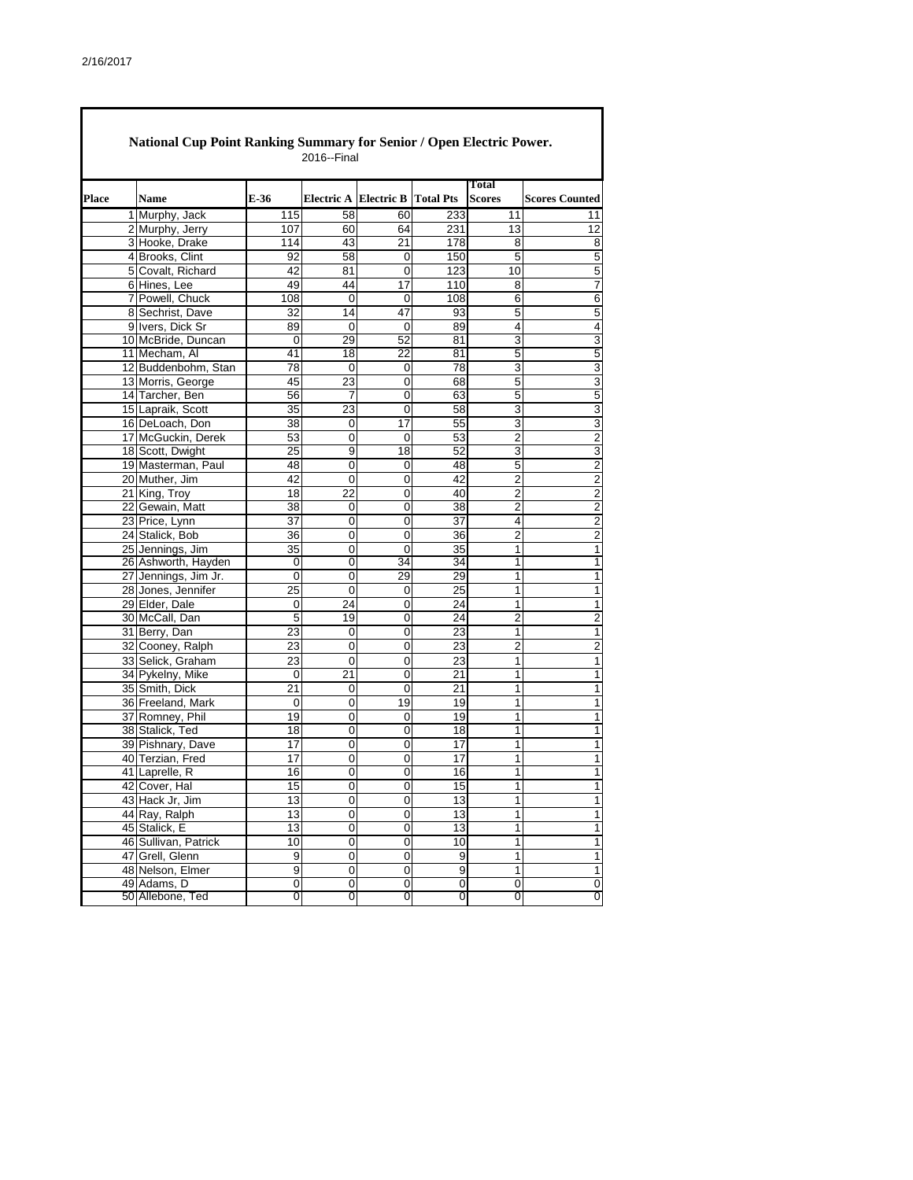| Place | <b>Name</b>                         | E-36            | Electric A Electric B |                   | <b>Total Pts</b> | <b>Total</b><br><b>Scores</b> | <b>Scores Counted</b> |
|-------|-------------------------------------|-----------------|-----------------------|-------------------|------------------|-------------------------------|-----------------------|
|       | 1 Murphy, Jack                      | 115             | 58                    | 60                | 233              | 11                            | 11                    |
|       | 2 Murphy, Jerry                     | 107             | 60                    | 64                | 231              | 13                            | 12                    |
|       | 3 Hooke, Drake                      | 114             | 43                    | 21                | 178              | 8                             | 8                     |
|       | 4 Brooks, Clint                     | 92              | 58                    | 0                 | 150              | 5                             | 5                     |
|       | 5 Covalt, Richard                   | 42              | 81                    | 0                 | 123              | 10                            | 5                     |
|       | 6 Hines, Lee                        | 49              | 44                    | 17                | 110              | 8                             | 7                     |
|       | 7 Powell, Chuck                     | 108             | 0                     | 0                 | 108              | 6                             | 6                     |
|       | 8 Sechrist, Dave                    | 32              | 14                    | 47<br>$\mathbf 0$ | 93               | 5                             | 5                     |
|       | 9 Ivers, Dick Sr                    | 89              | 0                     |                   | 89               | 4                             | 4                     |
|       | 10 McBride, Duncan<br>11 Mecham, Al | 0<br>41         | 29<br>18              | 52<br>22          | 81<br>81         | 3<br>5                        | 3<br>5                |
|       | 12 Buddenbohm, Stan                 | 78              | 0                     | 0                 | 78               | 3                             | 3                     |
|       | 13 Morris, George                   | 45              | 23                    | 0                 | 68               | 5                             | 3                     |
|       | 14 Tarcher, Ben                     | 56              | 7                     | 0                 | 63               | 5                             | 5                     |
|       | 15 Lapraik, Scott                   | 35              | 23                    | 0                 | 58               | 3                             | 3                     |
|       | 16 DeLoach, Don                     | 38              | 0                     | 17                | 55               | 3                             | 3                     |
|       | 17 McGuckin, Derek                  | 53              | 0                     | 0                 | 53               | $\overline{2}$                | $\overline{2}$        |
|       | 18 Scott, Dwight                    | 25              | 9                     | 18                | 52               | 3                             | 3                     |
|       | 19 Masterman, Paul                  | 48              | 0                     | 0                 | 48               | 5                             | $\overline{c}$        |
|       | 20 Muther, Jim                      | 42              | 0                     | 0                 | 42               | $\overline{2}$                | 2                     |
|       | 21 King, Troy                       | 18              | 22                    | 0                 | 40               | $\overline{c}$                | $\overline{2}$        |
|       | 22 Gewain, Matt                     | 38              | 0                     | 0                 | 38               | 2                             | $\overline{2}$        |
|       | 23 Price, Lynn                      | 37              | 0                     | 0                 | 37               | 4                             | $\overline{c}$        |
|       | 24 Stalick, Bob                     | 36              | 0                     | 0                 | 36               | 2                             | 2                     |
|       | 25 Jennings, Jim                    | 35              | 0                     | 0                 | 35               | 1                             | 1                     |
|       | 26 Ashworth, Hayden                 | 0               | 0                     | 34                | 34               | 1                             | 1                     |
|       | 27 Jennings, Jim Jr.                | 0               | 0                     | 29                | 29               | 1                             | 1                     |
|       | 28 Jones, Jennifer                  | 25              | 0                     | 0                 | 25               | 1                             | 1                     |
|       | 29 Elder, Dale                      | 0               | 24                    | 0                 | 24               | 1                             | 1                     |
|       | 30 McCall, Dan                      | 5               | 19                    | 0                 | 24               | 2                             | $\overline{c}$        |
|       | 31 Berry, Dan                       | 23              | 0                     | $\mathbf 0$       | 23               | 1                             | 1                     |
|       | 32 Cooney, Ralph                    | 23              | 0                     | 0                 | 23               | 2                             | $\overline{c}$        |
|       | 33 Selick, Graham                   | 23              | 0                     | 0                 | 23               | 1                             | 1                     |
|       | 34 Pykelny, Mike                    | 0               | 21                    | 0                 | 21               | 1                             | 1                     |
|       | 35 Smith, Dick                      | 21              | 0                     | 0                 | 21               | 1                             | 1                     |
|       | 36 Freeland, Mark                   | 0               | 0                     | 19                | 19               | 1                             | 1                     |
|       | 37 Romney, Phil                     | 19              | 0                     | 0                 | 19               | 1                             | 1                     |
|       | 38 Stalick, Ted                     | 18              | 0                     | 0                 | 18               | 1                             | 1                     |
|       | 39 Pishnary, Dave                   | $\overline{17}$ | 0                     | 0                 | $\overline{17}$  | 1                             | 1                     |
|       | 40 Terzian, Fred                    | 17              | 0                     | 0                 | 17               | 1                             | 1                     |
|       | 41 Laprelle, R                      | 16              | 0                     | 0                 | 16               | 1                             | 1                     |
|       | 42 Cover, Hal                       | 15              | 0                     | 0                 | 15               | 1                             |                       |
|       | 43 Hack Jr, Jim                     | 13              | 0                     | 0                 | 13               | 1                             | $\mathbf{1}$          |
|       | 44 Ray, Ralph                       | 13              | 0                     | 0                 | 13               | 1                             | 1                     |
|       | 45 Stalick, E                       | 13              | 0                     | 0                 | 13               | 1                             | $\mathbf{1}$          |
|       | 46 Sullivan, Patrick                | 10              | 0                     | 0                 | 10               | 1                             | 1                     |
|       | 47 Grell, Glenn                     | 9               | 0                     | 0                 | 9                | 1                             | 1                     |
|       | 48 Nelson, Elmer                    | 9               | $\overline{0}$        | 0                 | 9                | 1                             | 1                     |
|       | 49 Adams, D                         | 0               | 0                     | 0                 | 0                | 0                             | 0                     |